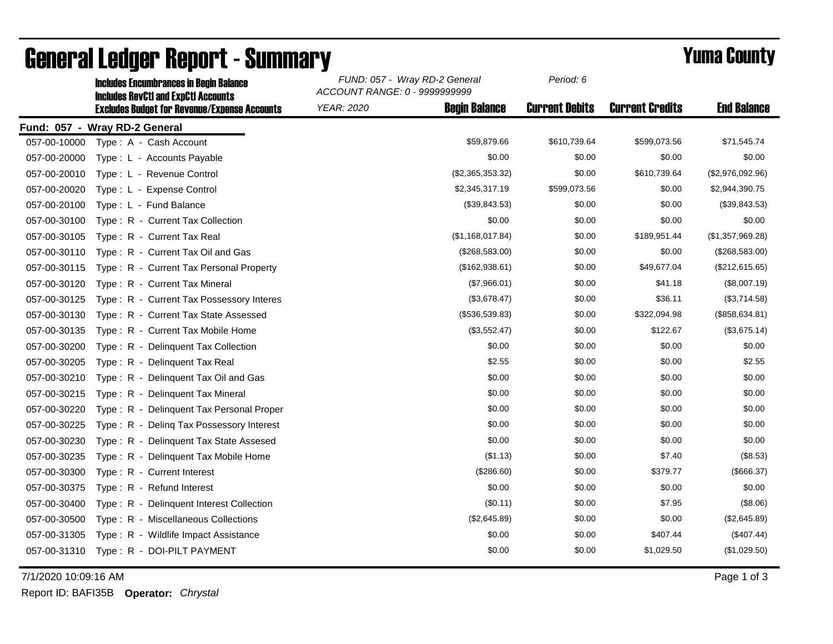|              | <b>Includes Encumbrances in Begin Balance</b>                                                     | FUND: 057 - Wray RD-2 General<br>ACCOUNT RANGE: 0 - 9999999999 | Period: 6             |                        |                    |
|--------------|---------------------------------------------------------------------------------------------------|----------------------------------------------------------------|-----------------------|------------------------|--------------------|
|              | <b>Includes RevCtI and ExpCtI Accounts</b><br><b>Excludes Budget for Revenue/Expense Accounts</b> | <b>Begin Balance</b><br><b>YEAR: 2020</b>                      | <b>Current Debits</b> | <b>Current Credits</b> | <b>End Balance</b> |
|              | Fund: 057 - Wray RD-2 General                                                                     |                                                                |                       |                        |                    |
| 057-00-10000 | Type: A - Cash Account                                                                            | \$59,879.66                                                    | \$610,739.64          | \$599,073.56           | \$71,545.74        |
| 057-00-20000 | Type: L - Accounts Payable                                                                        | \$0.00                                                         | \$0.00                | \$0.00                 | \$0.00             |
| 057-00-20010 | Type: L - Revenue Control                                                                         | (\$2,365,353.32)                                               | \$0.00                | \$610,739.64           | (\$2,976,092.96)   |
| 057-00-20020 | Type: L - Expense Control                                                                         | \$2,345,317.19                                                 | \$599,073.56          | \$0.00                 | \$2,944,390.75     |
| 057-00-20100 | Type: L - Fund Balance                                                                            | (\$39,843.53)                                                  | \$0.00                | \$0.00                 | (\$39,843.53)      |
| 057-00-30100 | Type: R - Current Tax Collection                                                                  | \$0.00                                                         | \$0.00                | \$0.00                 | \$0.00             |
| 057-00-30105 | Type: R - Current Tax Real                                                                        | (\$1,168,017.84)                                               | \$0.00                | \$189,951.44           | (\$1,357,969.28)   |
| 057-00-30110 | Type: R - Current Tax Oil and Gas                                                                 | (\$268,583.00)                                                 | \$0.00                | \$0.00                 | (\$268,583.00)     |
| 057-00-30115 | Type: R - Current Tax Personal Property                                                           | (\$162,938.61)                                                 | \$0.00                | \$49,677.04            | (\$212,615.65)     |
| 057-00-30120 | Type: R - Current Tax Mineral                                                                     | (\$7,966.01)                                                   | \$0.00                | \$41.18                | (\$8,007.19)       |
| 057-00-30125 | Type: R - Current Tax Possessory Interes                                                          | (\$3,678.47)                                                   | \$0.00                | \$36.11                | (\$3,714.58)       |
| 057-00-30130 | Type: R - Current Tax State Assessed                                                              | (\$536,539.83)                                                 | \$0.00                | \$322,094.98           | (\$858, 634.81)    |
| 057-00-30135 | Type: R - Current Tax Mobile Home                                                                 | (\$3,552.47)                                                   | \$0.00                | \$122.67               | (\$3,675.14)       |
| 057-00-30200 | Type: R - Delinguent Tax Collection                                                               | \$0.00                                                         | \$0.00                | \$0.00                 | \$0.00             |
| 057-00-30205 | Type: R - Delinquent Tax Real                                                                     | \$2.55                                                         | \$0.00                | \$0.00                 | \$2.55             |
| 057-00-30210 | Type: R - Delinquent Tax Oil and Gas                                                              | \$0.00                                                         | \$0.00                | \$0.00                 | \$0.00             |
| 057-00-30215 | Type: R - Delinquent Tax Mineral                                                                  | \$0.00                                                         | \$0.00                | \$0.00                 | \$0.00             |
| 057-00-30220 | Type: R - Delinguent Tax Personal Proper                                                          | \$0.00                                                         | \$0.00                | \$0.00                 | \$0.00             |
| 057-00-30225 | Type: R - Deling Tax Possessory Interest                                                          | \$0.00                                                         | \$0.00                | \$0.00                 | \$0.00             |
| 057-00-30230 | Type: R - Delinquent Tax State Assesed                                                            | \$0.00                                                         | \$0.00                | \$0.00                 | \$0.00             |
| 057-00-30235 | Type: R - Delinquent Tax Mobile Home                                                              | (\$1.13)                                                       | \$0.00                | \$7.40                 | (\$8.53)           |
| 057-00-30300 | Type: R - Current Interest                                                                        | (\$286.60)                                                     | \$0.00                | \$379.77               | (\$666.37)         |
| 057-00-30375 | Type: R - Refund Interest                                                                         | \$0.00                                                         | \$0.00                | \$0.00                 | \$0.00             |
| 057-00-30400 | Type: R - Delinquent Interest Collection                                                          | (\$0.11)                                                       | \$0.00                | \$7.95                 | (\$8.06)           |
| 057-00-30500 | Type: R - Miscellaneous Collections                                                               | (\$2,645.89)                                                   | \$0.00                | \$0.00                 | (\$2,645.89)       |
| 057-00-31305 | Type: R - Wildlife Impact Assistance                                                              | \$0.00                                                         | \$0.00                | \$407.44               | (\$407.44)         |
| 057-00-31310 | Type: R - DOI-PILT PAYMENT                                                                        | \$0.00                                                         | \$0.00                | \$1,029.50             | (\$1,029.50)       |

## General Ledger Report - Summary<br>
Sunniversity Report - Summary Fund: 057 - Wray RD-2 General Period: 6<br>
Report of the Belgion Reports in Reports in Reports in Reports

7/1/2020 10:09:16 AM Page 1 of 3

Report ID: BAFI35B **Operator:** *Chrystal*

*Period: 6*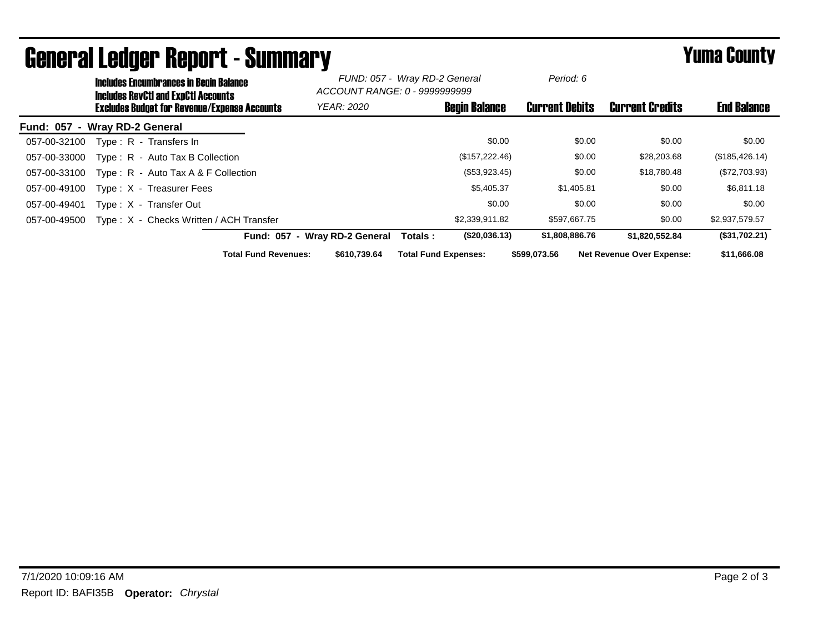|                               | <b>Includes Encumbrances in Begin Balance</b><br><b>Includes RevCtI and ExpCtI Accounts</b><br><b>Excludes Budget for Revenue/Expense Accounts</b> |                                         |                             | FUND: 057 - Wray RD-2 General<br>ACCOUNT RANGE: 0 - 9999999999 |                             | Period: 6            |                       |        |                                  |                    |
|-------------------------------|----------------------------------------------------------------------------------------------------------------------------------------------------|-----------------------------------------|-----------------------------|----------------------------------------------------------------|-----------------------------|----------------------|-----------------------|--------|----------------------------------|--------------------|
|                               |                                                                                                                                                    |                                         |                             | <b>YEAR: 2020</b>                                              |                             | <b>Begin Balance</b> | <b>Current Debits</b> |        | <b>Current Credits</b>           | <b>End Balance</b> |
| Fund: 057 - Wray RD-2 General |                                                                                                                                                    |                                         |                             |                                                                |                             |                      |                       |        |                                  |                    |
| 057-00-32100                  |                                                                                                                                                    | Type: R - Transfers In                  |                             |                                                                |                             | \$0.00               |                       | \$0.00 | \$0.00                           | \$0.00             |
| 057-00-33000                  |                                                                                                                                                    | Type: R - Auto Tax B Collection         |                             |                                                                |                             | (\$157, 222.46)      |                       | \$0.00 | \$28,203.68                      | (\$185,426.14)     |
| 057-00-33100                  |                                                                                                                                                    | Type: R - Auto Tax A & F Collection     |                             |                                                                |                             | (\$53,923.45)        |                       | \$0.00 | \$18,780.48                      | (\$72,703.93)      |
| 057-00-49100                  |                                                                                                                                                    | Type: X - Treasurer Fees                |                             |                                                                |                             | \$5,405.37           | \$1,405.81            |        | \$0.00                           | \$6,811.18         |
| 057-00-49401                  |                                                                                                                                                    | Type: X - Transfer Out                  |                             |                                                                |                             | \$0.00               |                       | \$0.00 | \$0.00                           | \$0.00             |
| 057-00-49500                  |                                                                                                                                                    | Type: X - Checks Written / ACH Transfer |                             |                                                                |                             | \$2,339,911.82       | \$597,667.75          |        | \$0.00                           | \$2,937,579.57     |
|                               |                                                                                                                                                    |                                         |                             | Fund: 057 - Wrav RD-2 General                                  | Totals:                     | (\$20,036.13)        | \$1,808,886.76        |        | \$1,820,552.84                   | (\$31,702.21)      |
|                               |                                                                                                                                                    |                                         | <b>Total Fund Revenues:</b> | \$610,739.64                                                   | <b>Total Fund Expenses:</b> |                      | \$599,073.56          |        | <b>Net Revenue Over Expense:</b> | \$11,666.08        |

## General Ledger Report - Summary **Example 2018** Yuma County